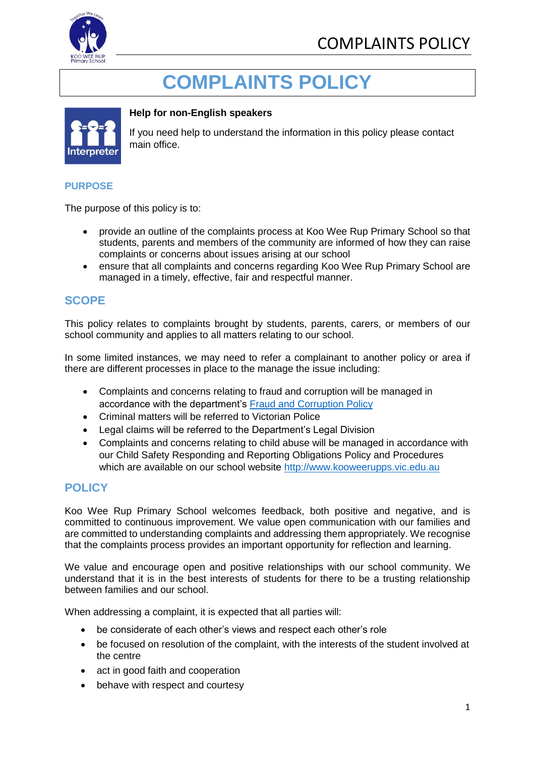

# **COMPLAINTS POLICY**



## **Help for non-English speakers**

If you need help to understand the information in this policy please contact main office.

#### **PURPOSE**

The purpose of this policy is to:

- provide an outline of the complaints process at Koo Wee Rup Primary School so that students, parents and members of the community are informed of how they can raise complaints or concerns about issues arising at our school
- ensure that all complaints and concerns regarding Koo Wee Rup Primary School are managed in a timely, effective, fair and respectful manner.

## **SCOPE**

This policy relates to complaints brought by students, parents, carers, or members of our school community and applies to all matters relating to our school.

In some limited instances, we may need to refer a complainant to another policy or area if there are different processes in place to the manage the issue including:

- Complaints and concerns relating to fraud and corruption will be managed in accordance with the department's [Fraud and Corruption Policy](https://www2.education.vic.gov.au/pal/report-fraud-or-corruption/overview)
- Criminal matters will be referred to Victorian Police
- Legal claims will be referred to the Department's Legal Division
- Complaints and concerns relating to child abuse will be managed in accordance with our Child Safety Responding and Reporting Obligations Policy and Procedures which are available on our school website [http://www.kooweerupps.vic.edu.au](http://www.kooweerupps.vic.edu.au/)

## **POLICY**

Koo Wee Rup Primary School welcomes feedback, both positive and negative, and is committed to continuous improvement. We value open communication with our families and are committed to understanding complaints and addressing them appropriately. We recognise that the complaints process provides an important opportunity for reflection and learning.

We value and encourage open and positive relationships with our school community. We understand that it is in the best interests of students for there to be a trusting relationship between families and our school.

When addressing a complaint, it is expected that all parties will:

- be considerate of each other's views and respect each other's role
- be focused on resolution of the complaint, with the interests of the student involved at the centre
- act in good faith and cooperation
- behave with respect and courtesy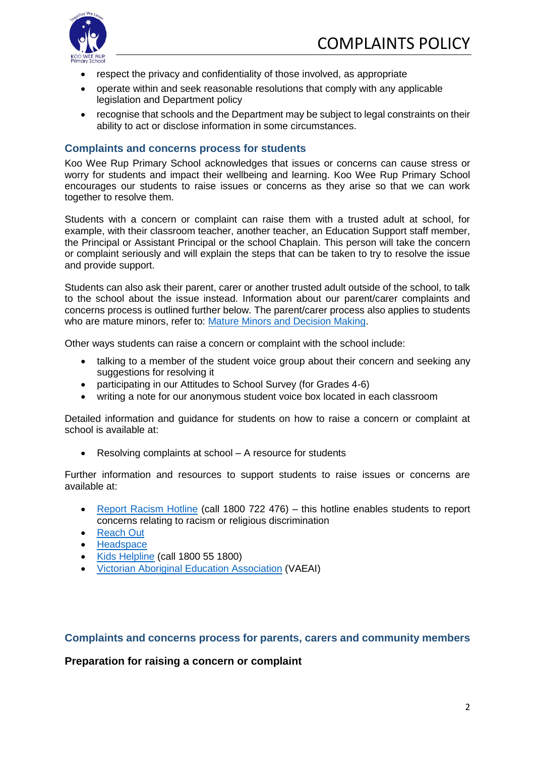

- respect the privacy and confidentiality of those involved, as appropriate
- operate within and seek reasonable resolutions that comply with any applicable legislation and Department policy
- recognise that schools and the Department may be subject to legal constraints on their ability to act or disclose information in some circumstances.

#### **Complaints and concerns process for students**

Koo Wee Rup Primary School acknowledges that issues or concerns can cause stress or worry for students and impact their wellbeing and learning. Koo Wee Rup Primary School encourages our students to raise issues or concerns as they arise so that we can work together to resolve them.

Students with a concern or complaint can raise them with a trusted adult at school, for example, with their classroom teacher, another teacher, an Education Support staff member, the Principal or Assistant Principal or the school Chaplain. This person will take the concern or complaint seriously and will explain the steps that can be taken to try to resolve the issue and provide support.

Students can also ask their parent, carer or another trusted adult outside of the school, to talk to the school about the issue instead. Information about our parent/carer complaints and concerns process is outlined further below. The parent/carer process also applies to students who are mature minors, refer to: [Mature Minors and Decision Making.](https://www2.education.vic.gov.au/pal/mature-minors-and-decision-making/policy)

Other ways students can raise a concern or complaint with the school include:

- talking to a member of the student voice group about their concern and seeking any suggestions for resolving it
- participating in our Attitudes to School Survey (for Grades 4-6)
- writing a note for our anonymous student voice box located in each classroom

Detailed information and guidance for students on how to raise a concern or complaint at school is available at:

• Resolving complaints at school – A resource for students

Further information and resources to support students to raise issues or concerns are available at:

- [Report Racism Hotline](https://www.vic.gov.au/report-racism-or-religious-discrimination-schools) (call 1800 722 476) this hotline enables students to report concerns relating to racism or religious discrimination
- [Reach Out](https://au.reachout.com/?gclid=CjwKCAiAgbiQBhAHEiwAuQ6BktaB5xneGFK3TnOql5c5eZ7af7dDm9ffLZa7N59FEtbtQzVIk8sGWhoC8N0QAvD_BwE)
- **[Headspace](https://headspace.org.au/)**
- [Kids Helpline](https://kidshelpline.com.au/?gclid=CjwKCAiAgbiQBhAHEiwAuQ6Bkro6UD2EBcRILznFnRhKjfi5I84jJlUa0fyiiYLQ4mHx5sXTStxH8BoCCEIQAvD_BwE) (call 1800 55 1800)
- [Victorian Aboriginal Education Association](https://www.vaeai.org.au/) (VAEAI)

#### **Complaints and concerns process for parents, carers and community members**

**Preparation for raising a concern or complaint**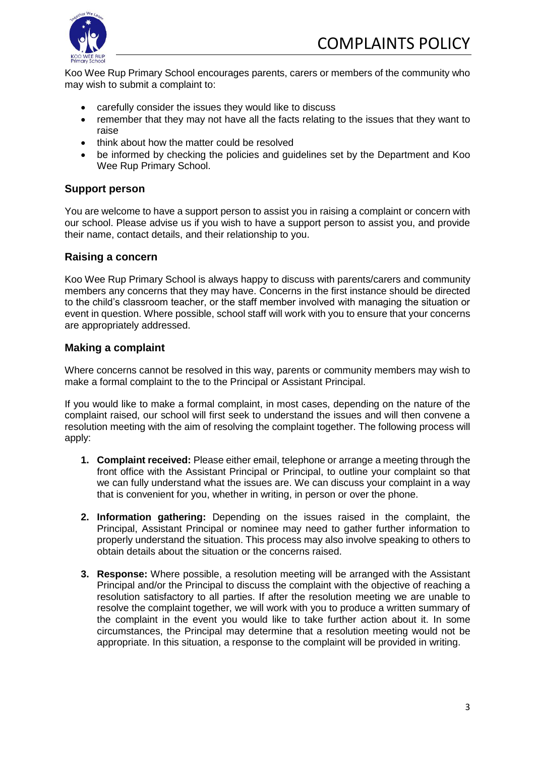

Koo Wee Rup Primary School encourages parents, carers or members of the community who may wish to submit a complaint to:

- carefully consider the issues they would like to discuss
- remember that they may not have all the facts relating to the issues that they want to raise
- think about how the matter could be resolved
- be informed by checking the policies and guidelines set by the Department and Koo Wee Rup Primary School.

#### **Support person**

You are welcome to have a support person to assist you in raising a complaint or concern with our school. Please advise us if you wish to have a support person to assist you, and provide their name, contact details, and their relationship to you.

#### **Raising a concern**

Koo Wee Rup Primary School is always happy to discuss with parents/carers and community members any concerns that they may have. Concerns in the first instance should be directed to the child's classroom teacher, or the staff member involved with managing the situation or event in question. Where possible, school staff will work with you to ensure that your concerns are appropriately addressed.

#### **Making a complaint**

Where concerns cannot be resolved in this way, parents or community members may wish to make a formal complaint to the to the Principal or Assistant Principal.

If you would like to make a formal complaint, in most cases, depending on the nature of the complaint raised, our school will first seek to understand the issues and will then convene a resolution meeting with the aim of resolving the complaint together. The following process will apply:

- **1. Complaint received:** Please either email, telephone or arrange a meeting through the front office with the Assistant Principal or Principal, to outline your complaint so that we can fully understand what the issues are. We can discuss your complaint in a way that is convenient for you, whether in writing, in person or over the phone.
- **2. Information gathering:** Depending on the issues raised in the complaint, the Principal, Assistant Principal or nominee may need to gather further information to properly understand the situation. This process may also involve speaking to others to obtain details about the situation or the concerns raised.
- **3. Response:** Where possible, a resolution meeting will be arranged with the Assistant Principal and/or the Principal to discuss the complaint with the objective of reaching a resolution satisfactory to all parties. If after the resolution meeting we are unable to resolve the complaint together, we will work with you to produce a written summary of the complaint in the event you would like to take further action about it. In some circumstances, the Principal may determine that a resolution meeting would not be appropriate. In this situation, a response to the complaint will be provided in writing.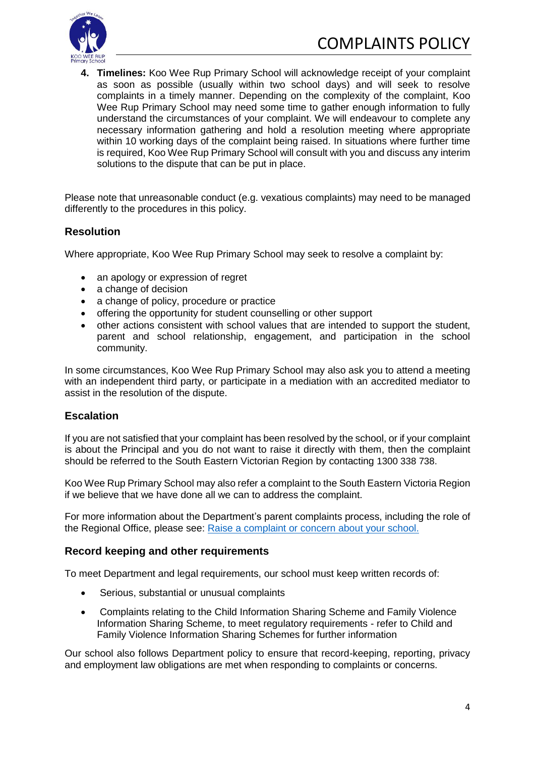

**4. Timelines:** Koo Wee Rup Primary School will acknowledge receipt of your complaint as soon as possible (usually within two school days) and will seek to resolve complaints in a timely manner. Depending on the complexity of the complaint, Koo Wee Rup Primary School may need some time to gather enough information to fully understand the circumstances of your complaint. We will endeavour to complete any necessary information gathering and hold a resolution meeting where appropriate within 10 working days of the complaint being raised. In situations where further time is required, Koo Wee Rup Primary School will consult with you and discuss any interim solutions to the dispute that can be put in place.

Please note that unreasonable conduct (e.g. vexatious complaints) may need to be managed differently to the procedures in this policy.

## **Resolution**

Where appropriate, Koo Wee Rup Primary School may seek to resolve a complaint by:

- an apology or expression of regret
- a change of decision
- a change of policy, procedure or practice
- offering the opportunity for student counselling or other support
- other actions consistent with school values that are intended to support the student, parent and school relationship, engagement, and participation in the school community.

In some circumstances, Koo Wee Rup Primary School may also ask you to attend a meeting with an independent third party, or participate in a mediation with an accredited mediator to assist in the resolution of the dispute.

## **Escalation**

If you are not satisfied that your complaint has been resolved by the school, or if your complaint is about the Principal and you do not want to raise it directly with them, then the complaint should be referred to the South Eastern Victorian Region by contacting 1300 338 738.

Koo Wee Rup Primary School may also refer a complaint to the South Eastern Victoria Region if we believe that we have done all we can to address the complaint.

For more information about the Department's parent complaints process, including the role of the Regional Office, please see: [Raise a complaint or concern about your school.](https://www.vic.gov.au/raise-complaint-or-concern-about-your-school#speaking-to-your-school)

#### **Record keeping and other requirements**

To meet Department and legal requirements, our school must keep written records of:

- Serious, substantial or unusual complaints
- Complaints relating to the Child Information Sharing Scheme and Family Violence Information Sharing Scheme, to meet regulatory requirements - refer to Child and Family Violence Information Sharing Schemes for further information

Our school also follows Department policy to ensure that record-keeping, reporting, privacy and employment law obligations are met when responding to complaints or concerns.